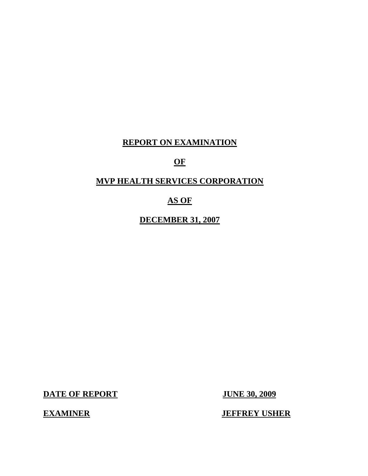## **REPORT ON EXAMINATION**

## **OF**

## **MVP HEALTH SERVICES CORPORATION**

## **AS OF**

**DECEMBER 31, 2007** 

**DATE OF REPORT JUNE 30, 2009** 

**EXAMINER** 

**JEFFREY USHER**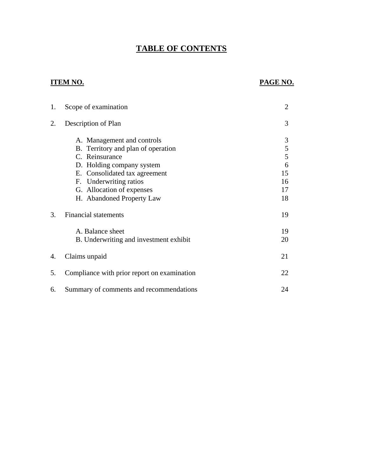# **TABLE OF CONTENTS**

## **ITEM NO.**

## **PAGE NO.**

| 1. | Scope of examination                        | $\overline{2}$ |
|----|---------------------------------------------|----------------|
| 2. | Description of Plan                         | 3              |
|    | A. Management and controls                  | 3              |
|    | B. Territory and plan of operation          | 5              |
|    | C. Reinsurance                              | 5              |
|    | D. Holding company system                   | 6              |
|    | E. Consolidated tax agreement               | 15             |
|    | F. Underwriting ratios                      | 16             |
|    | G. Allocation of expenses                   | 17             |
|    | H. Abandoned Property Law                   | 18             |
| 3. | <b>Financial statements</b>                 | 19             |
|    | A. Balance sheet                            | 19             |
|    | B. Underwriting and investment exhibit      | 20             |
| 4. | Claims unpaid                               | 21             |
| 5. | Compliance with prior report on examination | 22             |
| 6. | Summary of comments and recommendations     | 24             |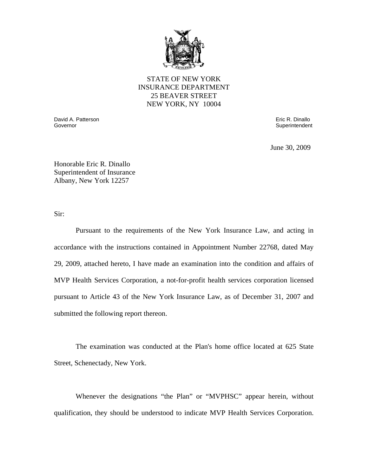

STATE OF NEW YORK INSURANCE DEPARTMENT 25 BEAVER STREET NEW YORK, NY 10004

Governor David A. Patterson Governor Eric R. Dinallo

**Superintendent** 

June 30, 2009

Honorable Eric R. Dinallo Superintendent of Insurance Albany, New York 12257

Sir:

Pursuant to the requirements of the New York Insurance Law, and acting in accordance with the instructions contained in Appointment Number 22768, dated May 29, 2009, attached hereto, I have made an examination into the condition and affairs of MVP Health Services Corporation, a not-for-profit health services corporation licensed pursuant to Article 43 of the New York Insurance Law, as of December 31, 2007 and submitted the following report thereon.

The examination was conducted at the Plan's home office located at 625 State Street, Schenectady, New York.

Whenever the designations "the Plan" or "MVPHSC" appear herein, without qualification, they should be understood to indicate MVP Health Services Corporation.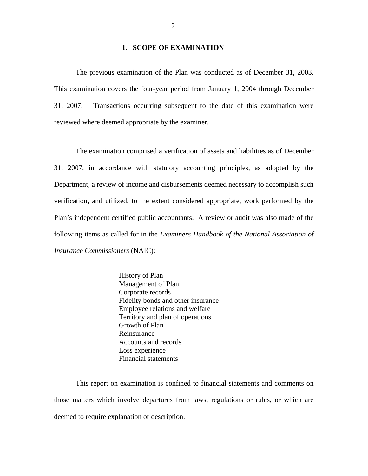#### **1. SCOPE OF EXAMINATION**

<span id="page-3-0"></span>The previous examination of the Plan was conducted as of December 31, 2003. This examination covers the four-year period from January 1, 2004 through December 31, 2007. Transactions occurring subsequent to the date of this examination were reviewed where deemed appropriate by the examiner.

The examination comprised a verification of assets and liabilities as of December 31, 2007, in accordance with statutory accounting principles, as adopted by the Department, a review of income and disbursements deemed necessary to accomplish such verification, and utilized, to the extent considered appropriate, work performed by the Plan's independent certified public accountants. A review or audit was also made of the following items as called for in the *Examiners Handbook of the National Association of Insurance Commissioners* (NAIC):

> History of Plan Management of Plan Corporate records Fidelity bonds and other insurance Employee relations and welfare Territory and plan of operations Growth of Plan Reinsurance Accounts and records Loss experience Financial statements

This report on examination is confined to financial statements and comments on those matters which involve departures from laws, regulations or rules, or which are deemed to require explanation or description.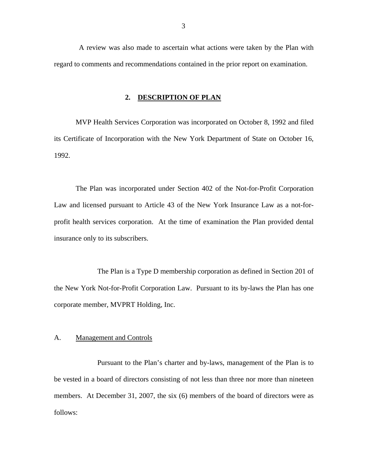<span id="page-4-0"></span>A review was also made to ascertain what actions were taken by the Plan with regard to comments and recommendations contained in the prior report on examination.

#### **2. DESCRIPTION OF PLAN**

MVP Health Services Corporation was incorporated on October 8, 1992 and filed its Certificate of Incorporation with the New York Department of State on October 16, 1992.

The Plan was incorporated under Section 402 of the Not-for-Profit Corporation Law and licensed pursuant to Article 43 of the New York Insurance Law as a not-forprofit health services corporation. At the time of examination the Plan provided dental insurance only to its subscribers.

The Plan is a Type D membership corporation as defined in Section 201 of the New York Not-for-Profit Corporation Law. Pursuant to its by-laws the Plan has one corporate member, MVPRT Holding, Inc.

#### A. Management and Controls

Pursuant to the Plan's charter and by-laws, management of the Plan is to be vested in a board of directors consisting of not less than three nor more than nineteen members. At December 31, 2007, the six (6) members of the board of directors were as follows: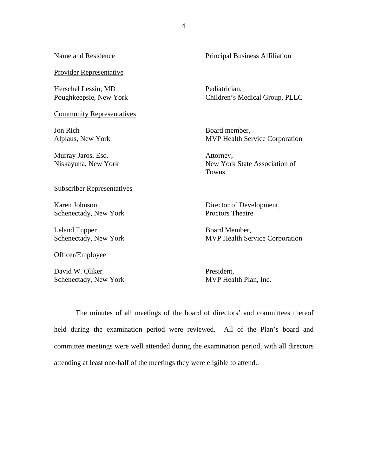| Name and Residence                            | <b>Principal Business Affiliation</b>                  |
|-----------------------------------------------|--------------------------------------------------------|
| <b>Provider Representative</b>                |                                                        |
| Herschel Lessin, MD<br>Poughkeepsie, New York | Pediatrician,<br>Children's Medical Group, PLLC        |
| <b>Community Representatives</b>              |                                                        |
| Jon Rich<br>Alplaus, New York                 | Board member,<br><b>MVP Health Service Corporation</b> |
| Murray Jaros, Esq.<br>Niskayuna, New York     | Attorney,<br>New York State Association of<br>Towns    |
| <b>Subscriber Representatives</b>             |                                                        |
| Karen Johnson<br>Schenectady, New York        | Director of Development,<br><b>Proctors Theatre</b>    |

 Board Member, MVP Health Service Corporation

 David W. Oliker Schenectady, New York

Schenectady, New York

Leland Tupper

Officer/Employee

 President, MVP Health Plan, Inc.

The minutes of all meetings of the board of directors' and committees thereof held during the examination period were reviewed. All of the Plan's board and committee meetings were well attended during the examination period, with all directors attending at least one-half of the meetings they were eligible to attend..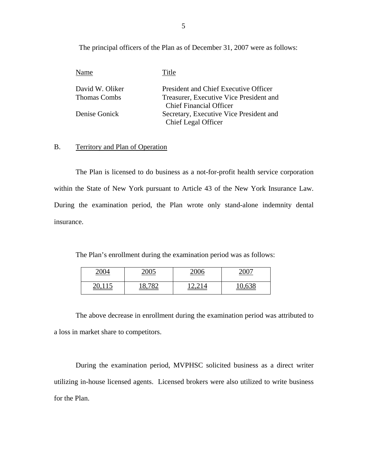The principal officers of the Plan as of December 31, 2007 were as follows:

| Name                | Title                                   |
|---------------------|-----------------------------------------|
| David W. Oliker     | President and Chief Executive Officer   |
| <b>Thomas Combs</b> | Treasurer, Executive Vice President and |
|                     | <b>Chief Financial Officer</b>          |
| Denise Gonick       | Secretary, Executive Vice President and |
|                     | Chief Legal Officer                     |

### B. Territory and Plan of Operation

The Plan is licensed to do business as a not-for-profit health service corporation within the State of New York pursuant to Article 43 of the New York Insurance Law. During the examination period, the Plan wrote only stand-alone indemnity dental insurance.

The Plan's enrollment during the examination period was as follows:

| <u>.UU4</u> | nose<br>$\sim$ | $\Delta \Omega$<br>$\frac{100}{100}$ | $\mathbf{A}\cap\mathbf{A}$ |
|-------------|----------------|--------------------------------------|----------------------------|
|             |                |                                      |                            |

The above decrease in enrollment during the examination period was attributed to a loss in market share to competitors.

During the examination period, MVPHSC solicited business as a direct writer utilizing in-house licensed agents. Licensed brokers were also utilized to write business for the Plan.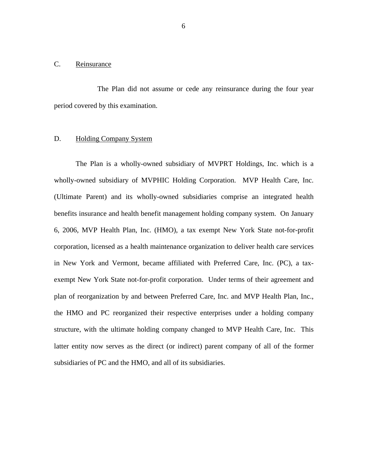#### <span id="page-7-0"></span>C. Reinsurance

The Plan did not assume or cede any reinsurance during the four year period covered by this examination.

#### **Holding Company System**

D. Holding Company System<br>The Plan is a wholly-owned subsidiary of MVPRT Holdings, Inc. which is a wholly-owned subsidiary of MVPHIC Holding Corporation. MVP Health Care, Inc. (Ultimate Parent) and its wholly-owned subsidiaries comprise an integrated health benefits insurance and health benefit management holding company system. On January 6, 2006, MVP Health Plan, Inc. (HMO), a tax exempt New York State not-for-profit corporation, licensed as a health maintenance organization to deliver health care services in New York and Vermont, became affiliated with Preferred Care, Inc. (PC), a taxexempt New York State not-for-profit corporation. Under terms of their agreement and plan of reorganization by and between Preferred Care, Inc. and MVP Health Plan, Inc., the HMO and PC reorganized their respective enterprises under a holding company structure, with the ultimate holding company changed to MVP Health Care, Inc. This latter entity now serves as the direct (or indirect) parent company of all of the former subsidiaries of PC and the HMO, and all of its subsidiaries.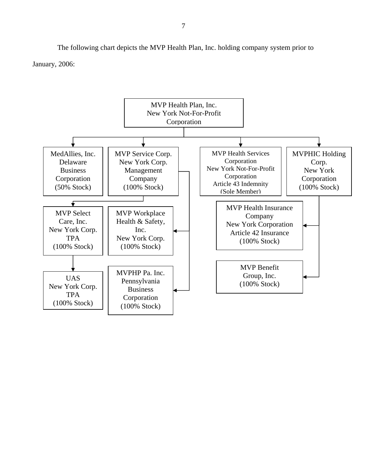The following chart depicts the MVP Health Plan, Inc. holding company system prior to January, 2006:

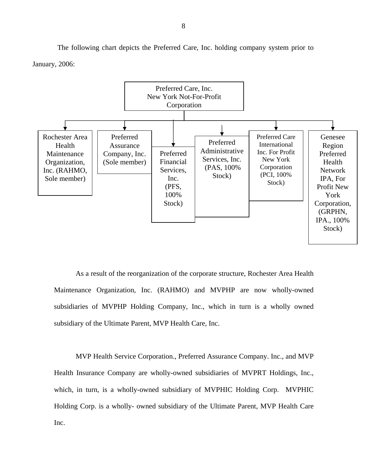The following chart depicts the Preferred Care, Inc. holding company system prior to January, 2006:



As a result of the reorganization of the corporate structure, Rochester Area Health Maintenance Organization, Inc. (RAHMO) and MVPHP are now wholly-owned subsidiaries of MVPHP Holding Company, Inc., which in turn is a wholly owned subsidiary of the Ultimate Parent, MVP Health Care, Inc.

MVP Health Service Corporation., Preferred Assurance Company. Inc., and MVP Health Insurance Company are wholly-owned subsidiaries of MVPRT Holdings, Inc., which, in turn, is a wholly-owned subsidiary of MVPHIC Holding Corp. MVPHIC Holding Corp. is a wholly- owned subsidiary of the Ultimate Parent, MVP Health Care Inc.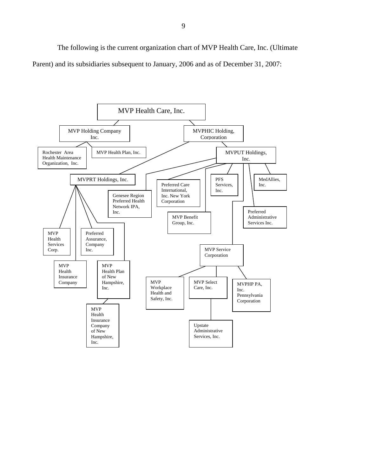The following is the current organization chart of MVP Health Care, Inc. (Ultimate Parent) and its subsidiaries subsequent to January, 2006 and as of December 31, 2007:

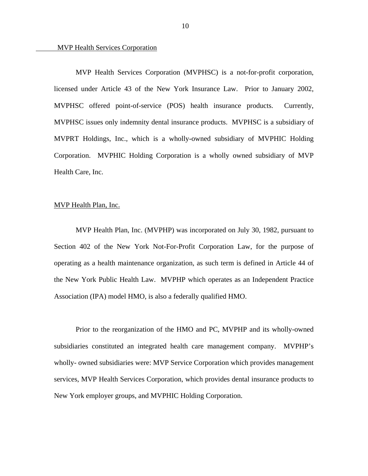MVP Health Services Corporation (MVPHSC) is a not-for-profit corporation, licensed under Article 43 of the New York Insurance Law. Prior to January 2002, MVPHSC offered point-of-service (POS) health insurance products. Currently, MVPHSC issues only indemnity dental insurance products. MVPHSC is a subsidiary of MVPRT Holdings, Inc., which is a wholly-owned subsidiary of MVPHIC Holding Corporation. MVPHIC Holding Corporation is a wholly owned subsidiary of MVP Health Care, Inc.

#### MVP Health Plan, Inc.

MVP Health Plan, Inc. (MVPHP) was incorporated on July 30, 1982, pursuant to Section 402 of the New York Not-For-Profit Corporation Law, for the purpose of operating as a health maintenance organization, as such term is defined in Article 44 of the New York Public Health Law. MVPHP which operates as an Independent Practice Association (IPA) model HMO, is also a federally qualified HMO.

Prior to the reorganization of the HMO and PC, MVPHP and its wholly-owned subsidiaries constituted an integrated health care management company. MVPHP's wholly- owned subsidiaries were: MVP Service Corporation which provides management services, MVP Health Services Corporation, which provides dental insurance products to New York employer groups, and MVPHIC Holding Corporation.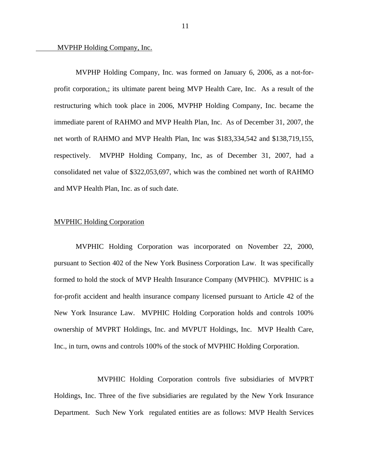#### MVPHP Holding Company, Inc.

MVPHP Holding Company, Inc. was formed on January 6, 2006, as a not-forprofit corporation,; its ultimate parent being MVP Health Care, Inc. As a result of the restructuring which took place in 2006, MVPHP Holding Company, Inc. became the immediate parent of RAHMO and MVP Health Plan, Inc. As of December 31, 2007, the net worth of RAHMO and MVP Health Plan, Inc was \$183,334,542 and \$138,719,155, respectively. MVPHP Holding Company, Inc, as of December 31, 2007, had a consolidated net value of \$322,053,697, which was the combined net worth of RAHMO and MVP Health Plan, Inc. as of such date.

#### MVPHIC Holding Corporation

MVPHIC Holding Corporation was incorporated on November 22, 2000, pursuant to Section 402 of the New York Business Corporation Law. It was specifically formed to hold the stock of MVP Health Insurance Company (MVPHIC). MVPHIC is a for-profit accident and health insurance company licensed pursuant to Article 42 of the New York Insurance Law. MVPHIC Holding Corporation holds and controls 100% ownership of MVPRT Holdings, Inc. and MVPUT Holdings, Inc. MVP Health Care, Inc., in turn, owns and controls 100% of the stock of MVPHIC Holding Corporation.

MVPHIC Holding Corporation controls five subsidiaries of MVPRT Holdings, Inc. Three of the five subsidiaries are regulated by the New York Insurance Department. Such New York regulated entities are as follows: MVP Health Services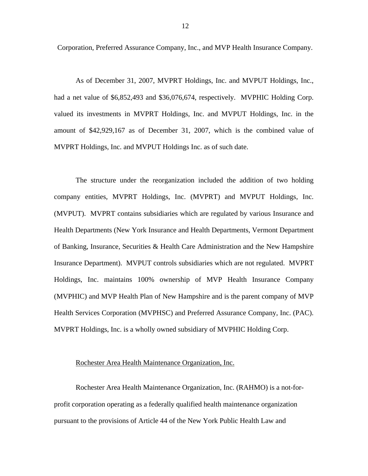Corporation, Preferred Assurance Company, Inc., and MVP Health Insurance Company.

As of December 31, 2007, MVPRT Holdings, Inc. and MVPUT Holdings, Inc., had a net value of \$6,852,493 and \$36,076,674, respectively. MVPHIC Holding Corp. valued its investments in MVPRT Holdings, Inc. and MVPUT Holdings, Inc. in the amount of \$42,929,167 as of December 31, 2007, which is the combined value of MVPRT Holdings, Inc. and MVPUT Holdings Inc. as of such date.

The structure under the reorganization included the addition of two holding company entities, MVPRT Holdings, Inc. (MVPRT) and MVPUT Holdings, Inc. (MVPUT). MVPRT contains subsidiaries which are regulated by various Insurance and Health Departments (New York Insurance and Health Departments, Vermont Department of Banking, Insurance, Securities & Health Care Administration and the New Hampshire Insurance Department). MVPUT controls subsidiaries which are not regulated. MVPRT Holdings, Inc. maintains 100% ownership of MVP Health Insurance Company (MVPHIC) and MVP Health Plan of New Hampshire and is the parent company of MVP Health Services Corporation (MVPHSC) and Preferred Assurance Company, Inc. (PAC). MVPRT Holdings, Inc. is a wholly owned subsidiary of MVPHIC Holding Corp.

#### Rochester Area Health Maintenance Organization, Inc.

Rochester Area Health Maintenance Organization, Inc. (RAHMO) is a not-forprofit corporation operating as a federally qualified health maintenance organization pursuant to the provisions of Article 44 of the New York Public Health Law and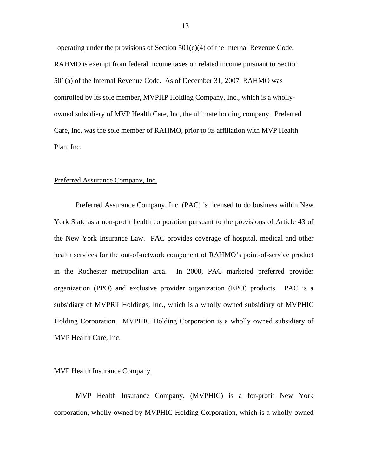operating under the provisions of Section  $501(c)(4)$  of the Internal Revenue Code. RAHMO is exempt from federal income taxes on related income pursuant to Section 501(a) of the Internal Revenue Code. As of December 31, 2007, RAHMO was controlled by its sole member, MVPHP Holding Company, Inc., which is a whollyowned subsidiary of MVP Health Care, Inc, the ultimate holding company. Preferred Care, Inc. was the sole member of RAHMO, prior to its affiliation with MVP Health Plan, Inc.

#### Preferred Assurance Company, Inc.

Preferred Assurance Company, Inc. (PAC) is licensed to do business within New York State as a non-profit health corporation pursuant to the provisions of Article 43 of the New York Insurance Law. PAC provides coverage of hospital, medical and other health services for the out-of-network component of RAHMO's point-of-service product in the Rochester metropolitan area. In 2008, PAC marketed preferred provider organization (PPO) and exclusive provider organization (EPO) products. PAC is a subsidiary of MVPRT Holdings, Inc., which is a wholly owned subsidiary of MVPHIC Holding Corporation. MVPHIC Holding Corporation is a wholly owned subsidiary of MVP Health Care, Inc.

#### MVP Health Insurance Company

MVP Health Insurance Company, (MVPHIC) is a for-profit New York corporation, wholly-owned by MVPHIC Holding Corporation, which is a wholly-owned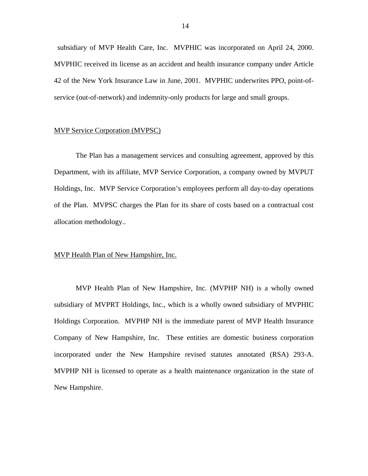subsidiary of MVP Health Care, Inc. MVPHIC was incorporated on April 24, 2000. MVPHIC received its license as an accident and health insurance company under Article 42 of the New York Insurance Law in June, 2001. MVPHIC underwrites PPO, point-ofservice (out-of-network) and indemnity-only products for large and small groups.

#### MVP Service Corporation (MVPSC)

The Plan has a management services and consulting agreement, approved by this Department, with its affiliate, MVP Service Corporation, a company owned by MVPUT Holdings, Inc. MVP Service Corporation's employees perform all day-to-day operations of the Plan. MVPSC charges the Plan for its share of costs based on a contractual cost allocation methodology..

#### MVP Health Plan of New Hampshire, Inc.

MVP Health Plan of New Hampshire, Inc. (MVPHP NH) is a wholly owned subsidiary of MVPRT Holdings, Inc., which is a wholly owned subsidiary of MVPHIC Holdings Corporation. MVPHP NH is the immediate parent of MVP Health Insurance Company of New Hampshire, Inc. These entities are domestic business corporation incorporated under the New Hampshire revised statutes annotated (RSA) 293-A. MVPHP NH is licensed to operate as a health maintenance organization in the state of New Hampshire.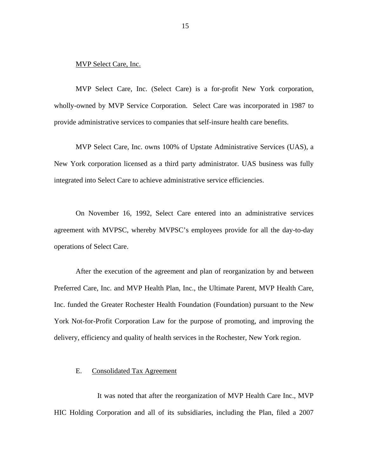#### <span id="page-16-0"></span>MVP Select Care, Inc.

MVP Select Care, Inc. (Select Care) is a for-profit New York corporation, wholly-owned by MVP Service Corporation. Select Care was incorporated in 1987 to provide administrative services to companies that self-insure health care benefits.

MVP Select Care, Inc. owns 100% of Upstate Administrative Services (UAS), a New York corporation licensed as a third party administrator. UAS business was fully integrated into Select Care to achieve administrative service efficiencies.

On November 16, 1992, Select Care entered into an administrative services agreement with MVPSC, whereby MVPSC's employees provide for all the day-to-day operations of Select Care.

After the execution of the agreement and plan of reorganization by and between Preferred Care, Inc. and MVP Health Plan, Inc., the Ultimate Parent, MVP Health Care, Inc. funded the Greater Rochester Health Foundation (Foundation) pursuant to the New York Not-for-Profit Corporation Law for the purpose of promoting, and improving the delivery, efficiency and quality of health services in the Rochester, New York region.

#### E. Consolidated Tax Agreement

It was noted that after the reorganization of MVP Health Care Inc., MVP HIC Holding Corporation and all of its subsidiaries, including the Plan, filed a 2007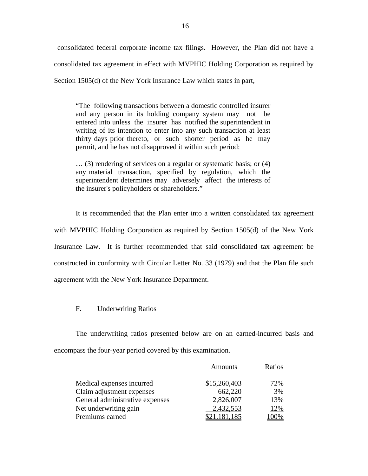consolidated federal corporate income tax filings. However, the Plan did not have a consolidated tax agreement in effect with MVPHIC Holding Corporation as required by Section 1505(d) of the New York Insurance Law which states in part,

"The following transactions between a domestic controlled insurer and any person in its holding company system may not be entered into unless the insurer has notified the superintendent in writing of its intention to enter into any such transaction at least thirty days prior thereto, or such shorter period as he may permit, and he has not disapproved it within such period:

… (3) rendering of services on a regular or systematic basis; or (4) any material transaction, specified by regulation, which the superintendent determines may adversely affect the interests of the insurer's policyholders or shareholders."

It is recommended that the Plan enter into a written consolidated tax agreement with MVPHIC Holding Corporation as required by Section 1505(d) of the New York Insurance Law. It is further recommended that said consolidated tax agreement be constructed in conformity with Circular Letter No. 33 (1979) and that the Plan file such agreement with the New York Insurance Department.

#### F. Underwriting Ratios

The underwriting ratios presented below are on an earned-incurred basis and encompass the four-year period covered by this examination.

|                                 | <b>Amounts</b> | Ratios |
|---------------------------------|----------------|--------|
| Medical expenses incurred       | \$15,260,403   | 72%    |
| Claim adjustment expenses       | 662,220        | 3%     |
| General administrative expenses | 2,826,007      | 13%    |
| Net underwriting gain           | 2,432,553      | 12%    |
| Premiums earned                 | \$21,181,185   | 100%   |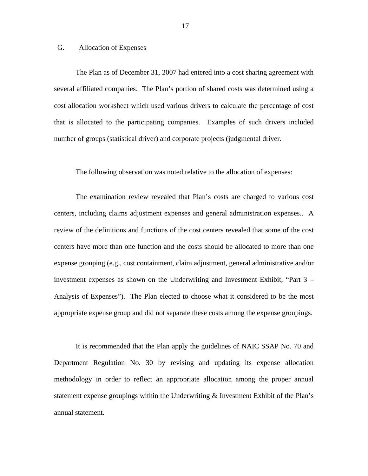#### <span id="page-18-0"></span>G. Allocation of Expenses

The Plan as of December 31, 2007 had entered into a cost sharing agreement with several affiliated companies. The Plan's portion of shared costs was determined using a cost allocation worksheet which used various drivers to calculate the percentage of cost that is allocated to the participating companies. Examples of such drivers included number of groups (statistical driver) and corporate projects (judgmental driver.

The following observation was noted relative to the allocation of expenses:

The examination review revealed that Plan's costs are charged to various cost centers, including claims adjustment expenses and general administration expenses.. A review of the definitions and functions of the cost centers revealed that some of the cost centers have more than one function and the costs should be allocated to more than one expense grouping (e.g., cost containment, claim adjustment, general administrative and/or investment expenses as shown on the Underwriting and Investment Exhibit, "Part 3 – Analysis of Expenses"). The Plan elected to choose what it considered to be the most appropriate expense group and did not separate these costs among the expense groupings.

It is recommended that the Plan apply the guidelines of NAIC SSAP No. 70 and Department Regulation No. 30 by revising and updating its expense allocation methodology in order to reflect an appropriate allocation among the proper annual statement expense groupings within the Underwriting & Investment Exhibit of the Plan's annual statement.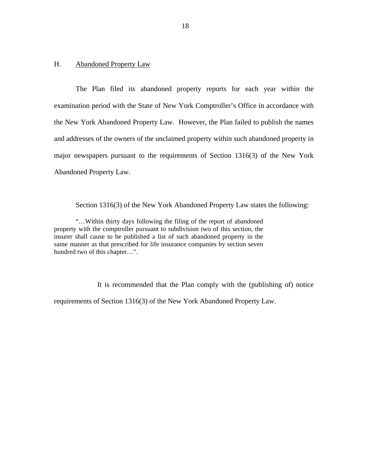#### <span id="page-19-0"></span>H. Abandoned Property Law

The Plan filed its abandoned property reports for each year within the examination period with the State of New York Comptroller's Office in accordance with the New York Abandoned Property Law. However, the Plan failed to publish the names and addresses of the owners of the unclaimed property within such abandoned property in major newspapers pursuant to the requirements of Section 1316(3) of the New York Abandoned Property Law.

Section 1316(3) of the New York Abandoned Property Law states the following:

"…Within thirty days following the filing of the report of abandoned property with the comptroller pursuant to subdivision two of this section, the insurer shall cause to be published a list of such abandoned property in the same manner as that prescribed for life insurance companies by section seven hundred two of this chapter…".

It is recommended that the Plan comply with the (publishing of) notice requirements of Section 1316(3) of the New York Abandoned Property Law.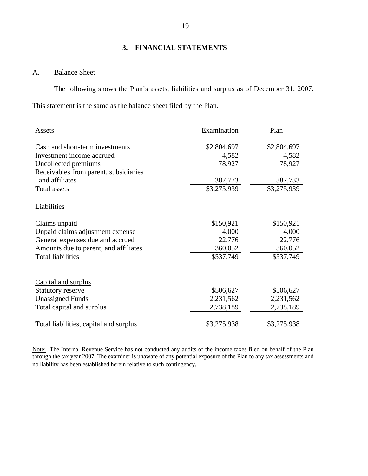#### **3. FINANCIAL STATEMENTS**

## A. Balance Sheet

The following shows the Plan's assets, liabilities and surplus as of December 31, 2007. This statement is the same as the balance sheet filed by the Plan.

| Assets                                 | Examination | Plan        |
|----------------------------------------|-------------|-------------|
|                                        |             |             |
| Cash and short-term investments        | \$2,804,697 | \$2,804,697 |
| Investment income accrued              | 4,582       | 4,582       |
| Uncollected premiums                   | 78,927      | 78,927      |
| Receivables from parent, subsidiaries  |             |             |
| and affiliates                         | 387,773     | 387,733     |
| Total assets                           | \$3,275,939 | \$3,275,939 |
| Liabilities                            |             |             |
| Claims unpaid                          | \$150,921   | \$150,921   |
| Unpaid claims adjustment expense       | 4,000       | 4,000       |
| General expenses due and accrued       | 22,776      | 22,776      |
| Amounts due to parent, and affiliates  | 360,052     | 360,052     |
| <b>Total liabilities</b>               | \$537,749   | \$537,749   |
| Capital and surplus                    |             |             |
| <b>Statutory reserve</b>               | \$506,627   | \$506,627   |
| <b>Unassigned Funds</b>                | 2,231,562   | 2,231,562   |
| Total capital and surplus              | 2,738,189   | 2,738,189   |
| Total liabilities, capital and surplus | \$3,275,938 | \$3,275,938 |

Note: The Internal Revenue Service has not conducted any audits of the income taxes filed on behalf of the Plan through the tax year 2007. The examiner is unaware of any potential exposure of the Plan to any tax assessments and no liability has been established herein relative to such contingency.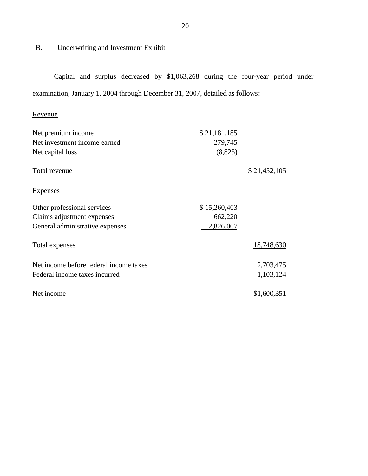## <span id="page-21-0"></span>B. Underwriting and Investment Exhibit

Capital and surplus decreased by \$1,063,268 during the four-year period under examination, January 1, 2004 through December 31, 2007, detailed as follows:

## Revenue

| Revenue                                |              |              |
|----------------------------------------|--------------|--------------|
| Net premium income                     | \$21,181,185 |              |
| Net investment income earned           | 279,745      |              |
| Net capital loss                       | (8,825)      |              |
| Total revenue                          |              | \$21,452,105 |
| <b>Expenses</b>                        |              |              |
| Other professional services            | \$15,260,403 |              |
| Claims adjustment expenses             | 662,220      |              |
| General administrative expenses        | 2,826,007    |              |
| Total expenses                         |              | 18,748,630   |
| Net income before federal income taxes |              | 2,703,475    |
| Federal income taxes incurred          |              | 1,103,124    |
| Net income                             |              | \$1,600,351  |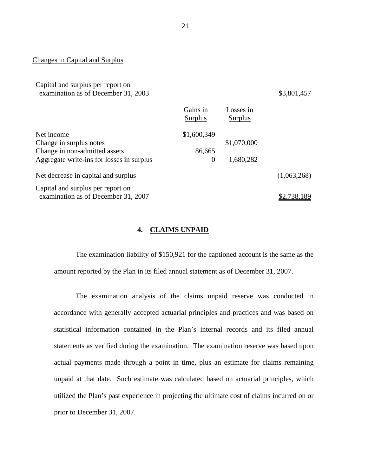Changes in Capital and Surplus

Capital and surplus per report on examination as of December 31, 2003 \$3,801,457

|                                                                          | Gains in<br>Surplus | osses in<br>Surplus |             |
|--------------------------------------------------------------------------|---------------------|---------------------|-------------|
| Net income                                                               | \$1,600,349         |                     |             |
| Change in surplus notes                                                  |                     | \$1,070,000         |             |
| Change in non-admitted assets                                            | 86,665              |                     |             |
| Aggregate write-ins for losses in surplus                                | $\Omega$            | 1,680,282           |             |
| Net decrease in capital and surplus                                      |                     |                     | (1,063,268) |
| Capital and surplus per report on<br>examination as of December 31, 2007 |                     |                     | .738.189    |

#### **4. CLAIMS UNPAID**

The examination liability of \$150,921 for the captioned account is the same as the amount reported by the Plan in its filed annual statement as of December 31, 2007.

The examination analysis of the claims unpaid reserve was conducted in accordance with generally accepted actuarial principles and practices and was based on statistical information contained in the Plan's internal records and its filed annual statements as verified during the examination. The examination reserve was based upon actual payments made through a point in time, plus an estimate for claims remaining unpaid at that date. Such estimate was calculated based on actuarial principles, which utilized the Plan's past experience in projecting the ultimate cost of claims incurred on or prior to December 31, 2007.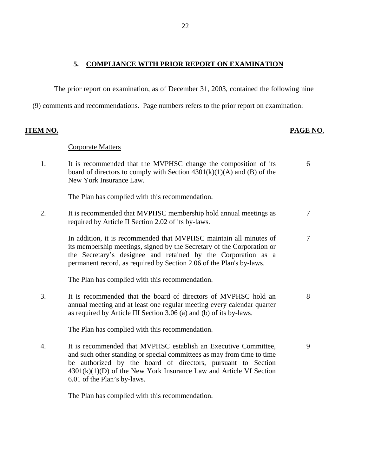## <span id="page-23-0"></span>**5. COMPLIANCE WITH PRIOR REPORT ON EXAMINATION**

The prior report on examination, as of December 31, 2003, contained the following nine

(9) comments and recommendations. Page numbers refers to the prior report on examination:

| TEM NO.          |                                                                                                                                                                                                                                                                                                                  | PAGE NO. |
|------------------|------------------------------------------------------------------------------------------------------------------------------------------------------------------------------------------------------------------------------------------------------------------------------------------------------------------|----------|
|                  | <b>Corporate Matters</b>                                                                                                                                                                                                                                                                                         |          |
| 1.               | It is recommended that the MVPHSC change the composition of its<br>board of directors to comply with Section $4301(k)(1)(A)$ and (B) of the<br>New York Insurance Law.                                                                                                                                           | 6        |
|                  | The Plan has complied with this recommendation.                                                                                                                                                                                                                                                                  |          |
| 2.               | It is recommended that MVPHSC membership hold annual meetings as<br>required by Article II Section 2.02 of its by-laws.                                                                                                                                                                                          | 7        |
|                  | In addition, it is recommended that MVPHSC maintain all minutes of<br>its membership meetings, signed by the Secretary of the Corporation or<br>the Secretary's designee and retained by the Corporation as a<br>permanent record, as required by Section 2.06 of the Plan's by-laws.                            | 7        |
|                  | The Plan has complied with this recommendation.                                                                                                                                                                                                                                                                  |          |
| 3.               | It is recommended that the board of directors of MVPHSC hold an<br>annual meeting and at least one regular meeting every calendar quarter<br>as required by Article III Section 3.06 (a) and (b) of its by-laws.                                                                                                 | 8        |
|                  | The Plan has complied with this recommendation.                                                                                                                                                                                                                                                                  |          |
| $\overline{4}$ . | It is recommended that MVPHSC establish an Executive Committee,<br>and such other standing or special committees as may from time to time<br>be authorized by the board of directors, pursuant to Section<br>$4301(k)(1)(D)$ of the New York Insurance Law and Article VI Section<br>6.01 of the Plan's by-laws. | 9        |

The Plan has complied with this recommendation.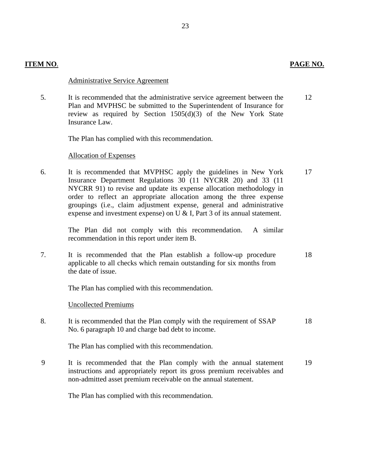|  | PAGE NO. |  |
|--|----------|--|
|  |          |  |

#### **ITEM NO**. **PAGE NO.**

#### Administrative Service Agreement

5. It is recommended that the administrative service agreement between the Plan and MVPHSC be submitted to the Superintendent of Insurance for review as required by Section 1505(d)(3) of the New York State Insurance Law. 12

The Plan has complied with this recommendation.

#### Allocation of Expenses

6. It is recommended that MVPHSC apply the guidelines in New York Insurance Department Regulations 30 (11 NYCRR 20) and 33 (11 NYCRR 91) to revise and update its expense allocation methodology in order to reflect an appropriate allocation among the three expense groupings (i.e., claim adjustment expense, general and administrative expense and investment expense) on U & I, Part 3 of its annual statement. 17

> The Plan did not comply with this recommendation. recommendation in this report under item B. A similar

7. It is recommended that the Plan establish a follow-up procedure applicable to all checks which remain outstanding for six months from the date of issue. 18

The Plan has complied with this recommendation.

#### Uncollected Premiums

8. It is recommended that the Plan comply with the requirement of SSAP No. 6 paragraph 10 and charge bad debt to income. 18

The Plan has complied with this recommendation.

9 It is recommended that the Plan comply with the annual statement instructions and appropriately report its gross premium receivables and non-admitted asset premium receivable on the annual statement. 19

The Plan has complied with this recommendation.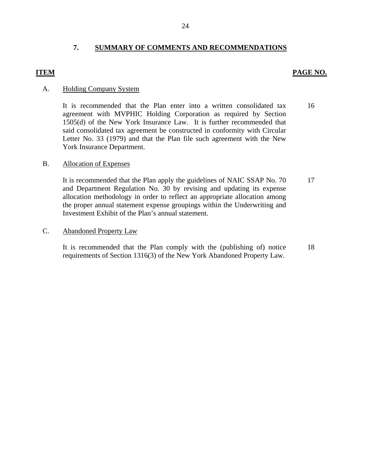### **7. SUMMARY OF COMMENTS AND RECOMMENDATIONS**

#### **ITEM PAGE NO.**

#### A. Holding Company System

It is recommended that the Plan enter into a written consolidated tax agreement with MVPHIC Holding Corporation as required by Section 1505(d) of the New York Insurance Law. It is further recommended that said consolidated tax agreement be constructed in conformity with Circular Letter No. 33 (1979) and that the Plan file such agreement with the New York Insurance Department. 16

#### B. Allocation of Expenses

It is recommended that the Plan apply the guidelines of NAIC SSAP No. 70 and Department Regulation No. 30 by revising and updating its expense allocation methodology in order to reflect an appropriate allocation among the proper annual statement expense groupings within the Underwriting and Investment Exhibit of the Plan's annual statement. 17

#### **Abandoned Property Law**

C. Abandoned Property Law<br>It is recommended that the Plan comply with the (publishing of) notice requirements of Section 1316(3) of the New York Abandoned Property Law. 18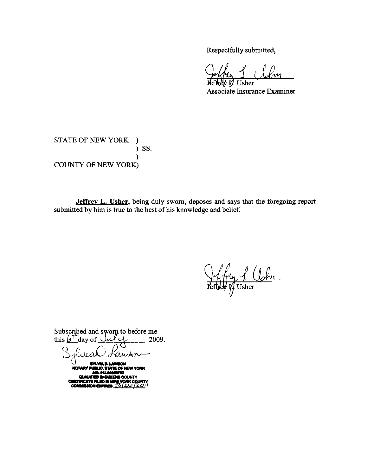Respectfully submitted,

 $\overline{\lambda}$ 

 $\n *W.* Usher$ Associate Insurance Examiner

## STATE OF NEW YORK ) ) SS.  $\lambda$ **COUNTY OF NEW YORK)**

Jeffrey L. Usher, being duly sworn, deposes and says that the foregoing report submitted by him is true to the best of his knowledge and belief.

1 Ushr.

Subscribed and sworn to before me this  $\varphi^{\mathrm{T}}$  day of  $\sim$ lulis 2009.

ra

**SYLVIA D.I.** NOTARY PUL LIC, STATE OF N N YORK **MO ON A OLIAL** iwa ni aust **S COUNTY** ATE I